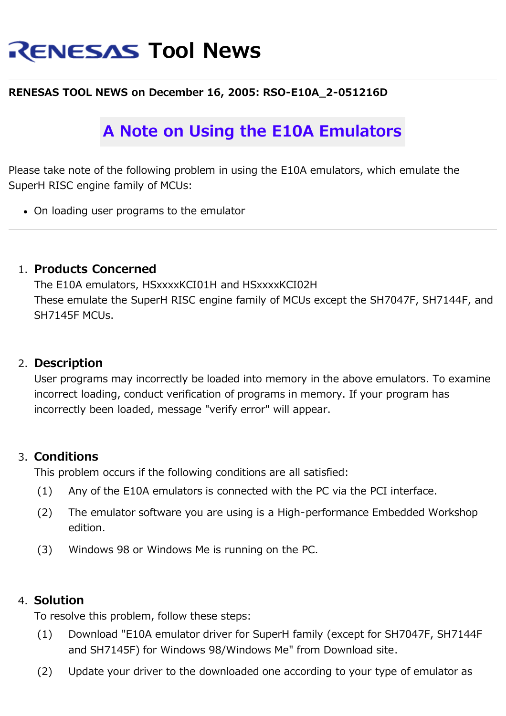# **RENESAS Tool News**

#### **RENESAS TOOL NEWS on December 16, 2005: RSO-E10A\_2-051216D**

## **A Note on Using the E10A Emulators**

Please take note of the following problem in using the E10A emulators, which emulate the SuperH RISC engine family of MCUs:

On loading user programs to the emulator

#### 1. **Products Concerned**

The E10A emulators, HSxxxxKCI01H and HSxxxxKCI02H These emulate the SuperH RISC engine family of MCUs except the SH7047F, SH7144F, and SH7145F MCUs.

#### 2. **Description**

User programs may incorrectly be loaded into memory in the above emulators. To examine incorrect loading, conduct verification of programs in memory. If your program has incorrectly been loaded, message "verify error" will appear.

### 3. **Conditions**

This problem occurs if the following conditions are all satisfied:

- (1) Any of the E10A emulators is connected with the PC via the PCI interface.
- (2) The emulator software you are using is a High-performance Embedded Workshop edition.
- (3) Windows 98 or Windows Me is running on the PC.

#### 4. **Solution**

To resolve this problem, follow these steps:

- (1) Download "E10A emulator driver for SuperH family (except for SH7047F, SH7144F and SH7145F) for Windows 98/Windows Me" from Download site.
- (2) Update your driver to the downloaded one according to your type of emulator as